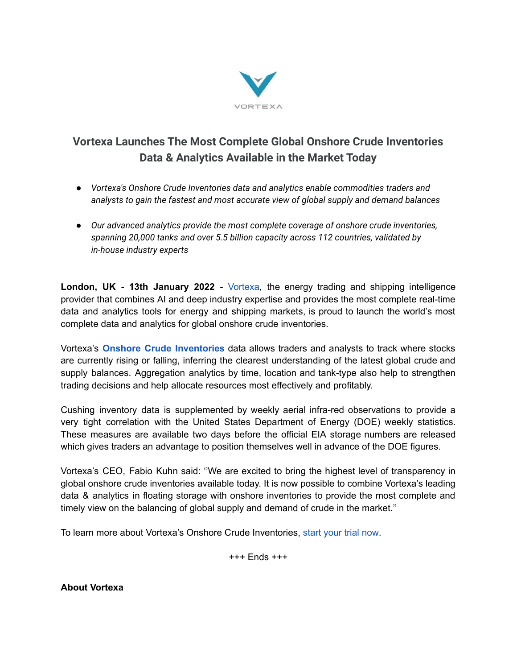

## **Vortexa Launches The Most Complete Global Onshore Crude Inventories Data & Analytics Available in the Market Today**

- *● Vortexa's Onshore Crude Inventories data and analytics enable commodities traders and analysts to gain the fastest and most accurate view of global supply and demand balances*
- *● Our advanced analytics provide the most complete coverage of onshore crude inventories, spanning 20,000 tanks and over 5.5 billion capacity across 112 countries, validated by in-house industry experts*

**London, UK - 13th January 2022 -** [Vortexa](https://www.vortexa.com/), the energy trading and shipping intelligence provider that combines AI and deep industry expertise and provides the most complete real-time data and analytics tools for energy and shipping markets, is proud to launch the world's most complete data and analytics for global onshore crude inventories.

Vortexa's **Onshore Crude [Inventories](https://www.vortexa.com/inventories)** data allows traders and analysts to track where stocks are currently rising or falling, inferring the clearest understanding of the latest global crude and supply balances. Aggregation analytics by time, location and tank-type also help to strengthen trading decisions and help allocate resources most effectively and profitably.

Cushing inventory data is supplemented by weekly aerial infra-red observations to provide a very tight correlation with the United States Department of Energy (DOE) weekly statistics. These measures are available two days before the official EIA storage numbers are released which gives traders an advantage to position themselves well in advance of the DOE figures.

Vortexa's CEO, Fabio Kuhn said: ''We are excited to bring the highest level of transparency in global onshore crude inventories available today. It is now possible to combine Vortexa's leading data & analytics in floating storage with onshore inventories to provide the most complete and timely view on the balancing of global supply and demand of crude in the market.''

To learn more about Vortexa's Onshore Crude Inventories, start [your](https://www.vortexa.com/inventories) trial now.

+++ Ends +++

**About Vortexa**